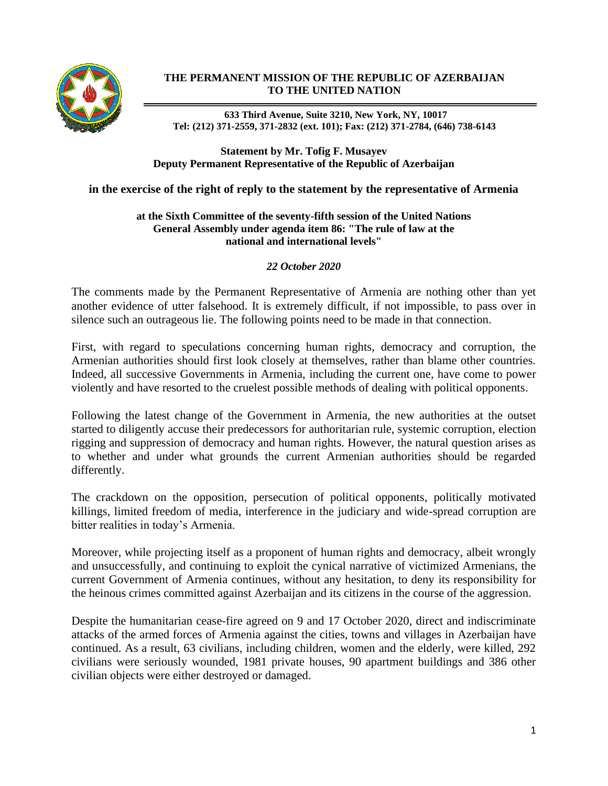

# **THE PERMANENT MISSION OF THE REPUBLIC OF AZERBAIJAN TO THE UNITED NATION**

**633 Third Avenue, Suite 3210, New York, NY, 10017 Tel: (212) 371-2559, 371-2832 (ext. 101); Fax: (212) 371-2784, (646) 738-6143**

### **Statement by Mr. Tofig F. Musayev Deputy Permanent Representative of the Republic of Azerbaijan**

# **in the exercise of the right of reply to the statement by the representative of Armenia**

### **at the Sixth Committee of the seventy-fifth session of the United Nations General Assembly under agenda item 86: "The rule of law at the national and international levels"**

### *22 October 2020*

The comments made by the Permanent Representative of Armenia are nothing other than yet another evidence of utter falsehood. It is extremely difficult, if not impossible, to pass over in silence such an outrageous lie. The following points need to be made in that connection.

First, with regard to speculations concerning human rights, democracy and corruption, the Armenian authorities should first look closely at themselves, rather than blame other countries. Indeed, all successive Governments in Armenia, including the current one, have come to power violently and have resorted to the cruelest possible methods of dealing with political opponents.

Following the latest change of the Government in Armenia, the new authorities at the outset started to diligently accuse their predecessors for authoritarian rule, systemic corruption, election rigging and suppression of democracy and human rights. However, the natural question arises as to whether and under what grounds the current Armenian authorities should be regarded differently.

The crackdown on the opposition, persecution of political opponents, politically motivated killings, limited freedom of media, interference in the judiciary and wide-spread corruption are bitter realities in today's Armenia.

Moreover, while projecting itself as a proponent of human rights and democracy, albeit wrongly and unsuccessfully, and continuing to exploit the cynical narrative of victimized Armenians, the current Government of Armenia continues, without any hesitation, to deny its responsibility for the heinous crimes committed against Azerbaijan and its citizens in the course of the aggression.

Despite the humanitarian cease-fire agreed on 9 and 17 October 2020, direct and indiscriminate attacks of the armed forces of Armenia against the cities, towns and villages in Azerbaijan have continued. As a result, 63 civilians, including children, women and the elderly, were killed, 292 civilians were seriously wounded, 1981 private houses, 90 apartment buildings and 386 other civilian objects were either destroyed or damaged.